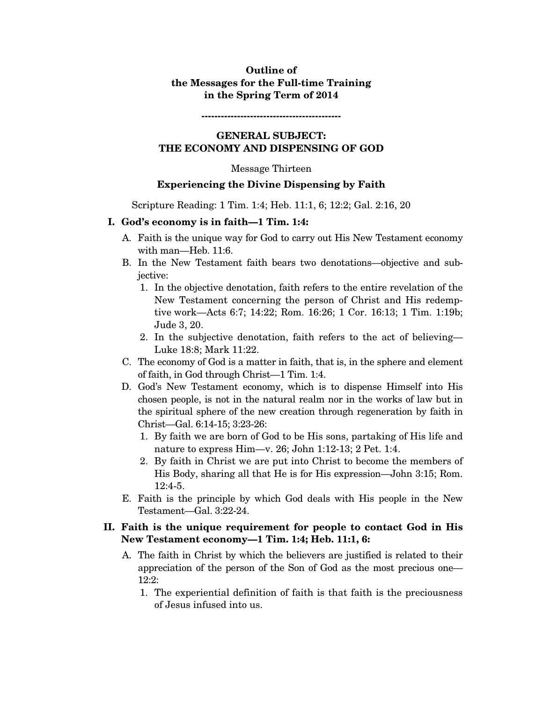## **Outline of the Messages for the Full-time Training in the Spring Term of 2014**

**-------------------------------------------** 

#### **GENERAL SUBJECT: THE ECONOMY AND DISPENSING OF GOD**

#### Message Thirteen

### **Experiencing the Divine Dispensing by Faith**

Scripture Reading: 1 Tim. 1:4; Heb. 11:1, 6; 12:2; Gal. 2:16, 20

### **I. God's economy is in faith—1 Tim. 1:4:**

- A. Faith is the unique way for God to carry out His New Testament economy with man—Heb. 11:6.
- B. In the New Testament faith bears two denotations—objective and subjective:
	- 1. In the objective denotation, faith refers to the entire revelation of the New Testament concerning the person of Christ and His redemptive work—Acts 6:7; 14:22; Rom. 16:26; 1 Cor. 16:13; 1 Tim. 1:19b; Jude 3, 20.
	- 2. In the subjective denotation, faith refers to the act of believing— Luke 18:8; Mark 11:22.
- C. The economy of God is a matter in faith, that is, in the sphere and element of faith, in God through Christ—1 Tim. 1:4.
- D. God's New Testament economy, which is to dispense Himself into His chosen people, is not in the natural realm nor in the works of law but in the spiritual sphere of the new creation through regeneration by faith in Christ—Gal. 6:14-15; 3:23-26:
	- 1. By faith we are born of God to be His sons, partaking of His life and nature to express Him—v. 26; John 1:12-13; 2 Pet. 1:4.
	- 2. By faith in Christ we are put into Christ to become the members of His Body, sharing all that He is for His expression—John 3:15; Rom. 12:4-5.
- E. Faith is the principle by which God deals with His people in the New Testament—Gal. 3:22-24.

## **II. Faith is the unique requirement for people to contact God in His New Testament economy—1 Tim. 1:4; Heb. 11:1, 6:**

- A. The faith in Christ by which the believers are justified is related to their appreciation of the person of the Son of God as the most precious one— 12:2:
	- 1. The experiential definition of faith is that faith is the preciousness of Jesus infused into us.